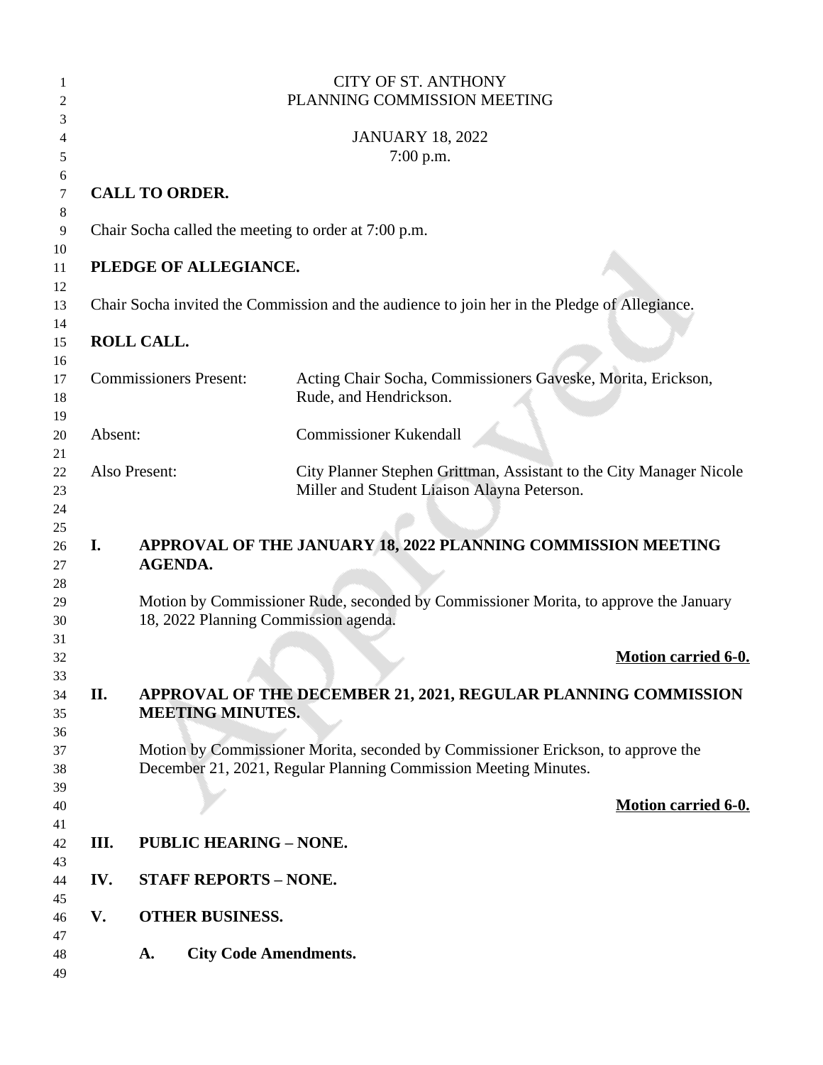|         |                                      | <b>CITY OF ST. ANTHONY</b><br>PLANNING COMMISSION MEETING                                                                                           |
|---------|--------------------------------------|-----------------------------------------------------------------------------------------------------------------------------------------------------|
|         |                                      |                                                                                                                                                     |
|         |                                      | <b>JANUARY 18, 2022</b><br>7:00 p.m.                                                                                                                |
|         | <b>CALL TO ORDER.</b>                |                                                                                                                                                     |
|         |                                      | Chair Socha called the meeting to order at 7:00 p.m.                                                                                                |
|         | PLEDGE OF ALLEGIANCE.                |                                                                                                                                                     |
|         |                                      | Chair Socha invited the Commission and the audience to join her in the Pledge of Allegiance.                                                        |
|         | ROLL CALL.                           |                                                                                                                                                     |
|         | <b>Commissioners Present:</b>        | Acting Chair Socha, Commissioners Gaveske, Morita, Erickson,<br>Rude, and Hendrickson.                                                              |
| Absent: |                                      | <b>Commissioner Kukendall</b>                                                                                                                       |
|         | Also Present:                        | City Planner Stephen Grittman, Assistant to the City Manager Nicole<br>Miller and Student Liaison Alayna Peterson.                                  |
| I.      | <b>AGENDA.</b>                       | APPROVAL OF THE JANUARY 18, 2022 PLANNING COMMISSION MEETING                                                                                        |
|         | 18, 2022 Planning Commission agenda. | Motion by Commissioner Rude, seconded by Commissioner Morita, to approve the January                                                                |
|         |                                      | <b>Motion carried 6-0.</b>                                                                                                                          |
| II.     | <b>MEETING MINUTES.</b>              | APPROVAL OF THE DECEMBER 21, 2021, REGULAR PLANNING COMMISSION                                                                                      |
|         |                                      | Motion by Commissioner Morita, seconded by Commissioner Erickson, to approve the<br>December 21, 2021, Regular Planning Commission Meeting Minutes. |
|         |                                      | <b>Motion carried 6-0.</b>                                                                                                                          |
| III.    | <b>PUBLIC HEARING - NONE.</b>        |                                                                                                                                                     |
| IV.     | <b>STAFF REPORTS - NONE.</b>         |                                                                                                                                                     |
| V.      | <b>OTHER BUSINESS.</b>               |                                                                                                                                                     |
|         | <b>City Code Amendments.</b><br>A.   |                                                                                                                                                     |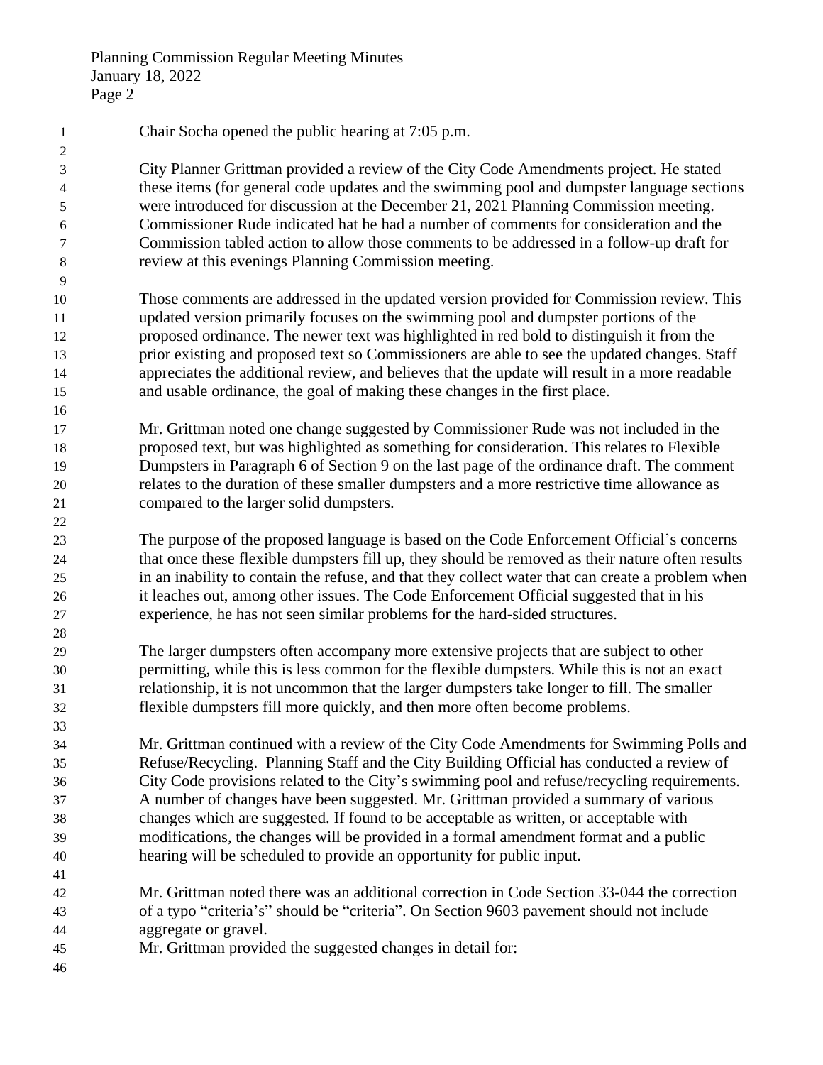| $\mathbf{1}$   | Chair Socha opened the public hearing at 7:05 p.m.                                                                                                                              |
|----------------|---------------------------------------------------------------------------------------------------------------------------------------------------------------------------------|
| $\overline{c}$ |                                                                                                                                                                                 |
| 3              | City Planner Grittman provided a review of the City Code Amendments project. He stated                                                                                          |
| 4              | these items (for general code updates and the swimming pool and dumpster language sections                                                                                      |
| 5              | were introduced for discussion at the December 21, 2021 Planning Commission meeting.                                                                                            |
| 6              | Commissioner Rude indicated hat he had a number of comments for consideration and the                                                                                           |
| 7              | Commission tabled action to allow those comments to be addressed in a follow-up draft for                                                                                       |
| 8              | review at this evenings Planning Commission meeting.                                                                                                                            |
| 9              |                                                                                                                                                                                 |
| 10             | Those comments are addressed in the updated version provided for Commission review. This<br>updated version primarily focuses on the swimming pool and dumpster portions of the |
| 11             | proposed ordinance. The newer text was highlighted in red bold to distinguish it from the                                                                                       |
| 12<br>13       | prior existing and proposed text so Commissioners are able to see the updated changes. Staff                                                                                    |
| 14             | appreciates the additional review, and believes that the update will result in a more readable                                                                                  |
| 15             | and usable ordinance, the goal of making these changes in the first place.                                                                                                      |
| 16             |                                                                                                                                                                                 |
| 17             | Mr. Grittman noted one change suggested by Commissioner Rude was not included in the                                                                                            |
| 18             | proposed text, but was highlighted as something for consideration. This relates to Flexible                                                                                     |
| 19             | Dumpsters in Paragraph 6 of Section 9 on the last page of the ordinance draft. The comment                                                                                      |
| 20             | relates to the duration of these smaller dumpsters and a more restrictive time allowance as                                                                                     |
| 21             | compared to the larger solid dumpsters.                                                                                                                                         |
| 22             |                                                                                                                                                                                 |
| 23             | The purpose of the proposed language is based on the Code Enforcement Official's concerns                                                                                       |
| 24             | that once these flexible dumpsters fill up, they should be removed as their nature often results                                                                                |
| 25             | in an inability to contain the refuse, and that they collect water that can create a problem when                                                                               |
| 26             | it leaches out, among other issues. The Code Enforcement Official suggested that in his                                                                                         |
| 27             | experience, he has not seen similar problems for the hard-sided structures.                                                                                                     |
| 28             |                                                                                                                                                                                 |
| 29             | The larger dumpsters often accompany more extensive projects that are subject to other                                                                                          |
| 30             | permitting, while this is less common for the flexible dumpsters. While this is not an exact                                                                                    |
| 31             | relationship, it is not uncommon that the larger dumpsters take longer to fill. The smaller                                                                                     |
| 32             | flexible dumpsters fill more quickly, and then more often become problems.                                                                                                      |
| 33             |                                                                                                                                                                                 |
| 34             | Mr. Grittman continued with a review of the City Code Amendments for Swimming Polls and                                                                                         |
| 35             | Refuse/Recycling. Planning Staff and the City Building Official has conducted a review of                                                                                       |
| 36             | City Code provisions related to the City's swimming pool and refuse/recycling requirements.                                                                                     |
| 37             | A number of changes have been suggested. Mr. Grittman provided a summary of various                                                                                             |
| 38             | changes which are suggested. If found to be acceptable as written, or acceptable with                                                                                           |
| 39             | modifications, the changes will be provided in a formal amendment format and a public                                                                                           |
| 40             | hearing will be scheduled to provide an opportunity for public input.                                                                                                           |
| 41             |                                                                                                                                                                                 |
| 42             | Mr. Grittman noted there was an additional correction in Code Section 33-044 the correction                                                                                     |
| 43             | of a typo "criteria's" should be "criteria". On Section 9603 pavement should not include                                                                                        |
| 44             | aggregate or gravel.                                                                                                                                                            |
| 45             | Mr. Grittman provided the suggested changes in detail for:                                                                                                                      |
| 46             |                                                                                                                                                                                 |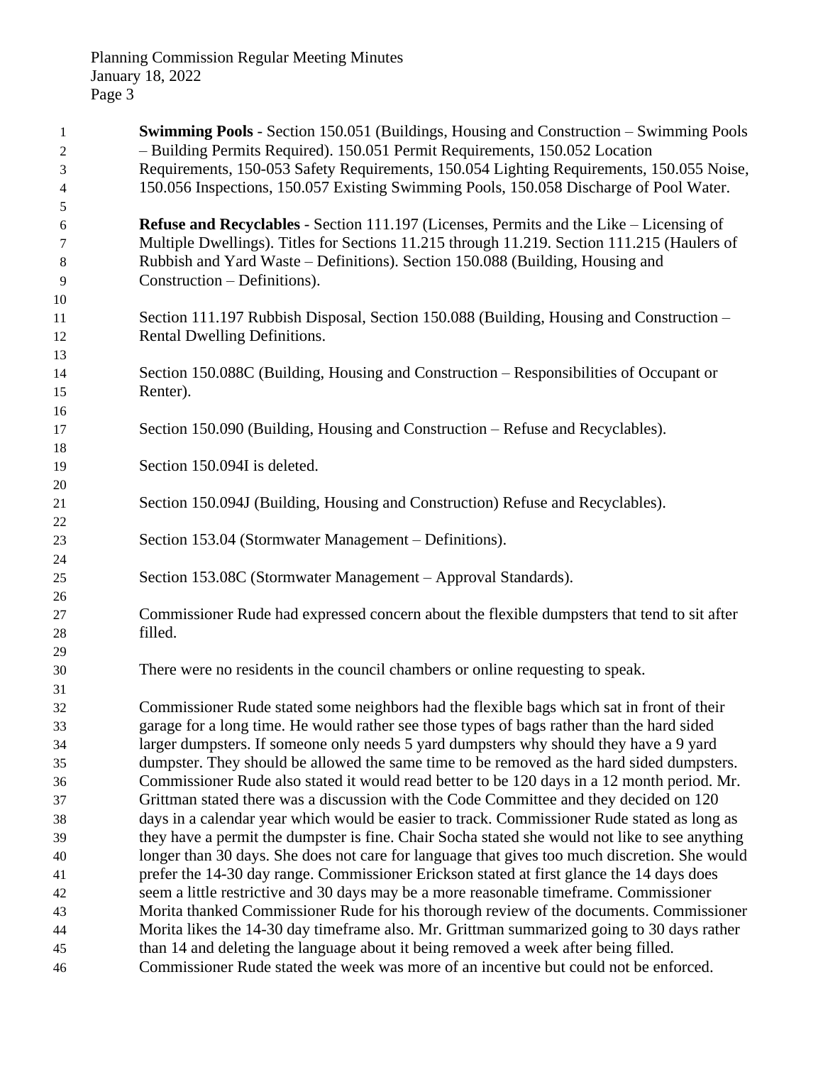| $\mathbf{1}$   | <b>Swimming Pools</b> - Section 150.051 (Buildings, Housing and Construction – Swimming Pools                                                                                         |
|----------------|---------------------------------------------------------------------------------------------------------------------------------------------------------------------------------------|
| $\overline{c}$ | - Building Permits Required). 150.051 Permit Requirements, 150.052 Location                                                                                                           |
| 3              | Requirements, 150-053 Safety Requirements, 150.054 Lighting Requirements, 150.055 Noise,                                                                                              |
| $\overline{4}$ | 150.056 Inspections, 150.057 Existing Swimming Pools, 150.058 Discharge of Pool Water.                                                                                                |
| 5              |                                                                                                                                                                                       |
| 6              | <b>Refuse and Recyclables - Section 111.197 (Licenses, Permits and the Like – Licensing of</b>                                                                                        |
| 7              | Multiple Dwellings). Titles for Sections 11.215 through 11.219. Section 111.215 (Haulers of                                                                                           |
| 8              | Rubbish and Yard Waste – Definitions). Section 150.088 (Building, Housing and                                                                                                         |
| 9              | Construction – Definitions).                                                                                                                                                          |
| 10<br>11       | Section 111.197 Rubbish Disposal, Section 150.088 (Building, Housing and Construction –                                                                                               |
| 12             | Rental Dwelling Definitions.                                                                                                                                                          |
| 13             |                                                                                                                                                                                       |
| 14             | Section 150.088C (Building, Housing and Construction – Responsibilities of Occupant or                                                                                                |
| 15             | Renter).                                                                                                                                                                              |
| 16             |                                                                                                                                                                                       |
| 17             | Section 150.090 (Building, Housing and Construction – Refuse and Recyclables).                                                                                                        |
| 18             |                                                                                                                                                                                       |
| 19             | Section 150.094I is deleted.                                                                                                                                                          |
| 20             |                                                                                                                                                                                       |
| 21             | Section 150.094J (Building, Housing and Construction) Refuse and Recyclables).                                                                                                        |
| 22             |                                                                                                                                                                                       |
| 23             | Section 153.04 (Stormwater Management – Definitions).                                                                                                                                 |
| 24             |                                                                                                                                                                                       |
| 25             | Section 153.08C (Stormwater Management – Approval Standards).                                                                                                                         |
| 26             |                                                                                                                                                                                       |
| 27             | Commissioner Rude had expressed concern about the flexible dumpsters that tend to sit after                                                                                           |
| 28             | filled.                                                                                                                                                                               |
| 29             |                                                                                                                                                                                       |
| 30             | There were no residents in the council chambers or online requesting to speak.                                                                                                        |
| 31             |                                                                                                                                                                                       |
| 32             | Commissioner Rude stated some neighbors had the flexible bags which sat in front of their                                                                                             |
| 33             | garage for a long time. He would rather see those types of bags rather than the hard sided                                                                                            |
| 34             | larger dumpsters. If someone only needs 5 yard dumpsters why should they have a 9 yard                                                                                                |
| 35             | dumpster. They should be allowed the same time to be removed as the hard sided dumpsters.                                                                                             |
| 36             | Commissioner Rude also stated it would read better to be 120 days in a 12 month period. Mr.                                                                                           |
| 37<br>38       | Grittman stated there was a discussion with the Code Committee and they decided on 120<br>days in a calendar year which would be easier to track. Commissioner Rude stated as long as |
| 39             | they have a permit the dumpster is fine. Chair Socha stated she would not like to see anything                                                                                        |
| 40             | longer than 30 days. She does not care for language that gives too much discretion. She would                                                                                         |
| 41             | prefer the 14-30 day range. Commissioner Erickson stated at first glance the 14 days does                                                                                             |
| 42             | seem a little restrictive and 30 days may be a more reasonable time frame. Commissioner                                                                                               |
| 43             | Morita thanked Commissioner Rude for his thorough review of the documents. Commissioner                                                                                               |
| 44             | Morita likes the 14-30 day timeframe also. Mr. Grittman summarized going to 30 days rather                                                                                            |
| 45             | than 14 and deleting the language about it being removed a week after being filled.                                                                                                   |
| 46             | Commissioner Rude stated the week was more of an incentive but could not be enforced.                                                                                                 |
|                |                                                                                                                                                                                       |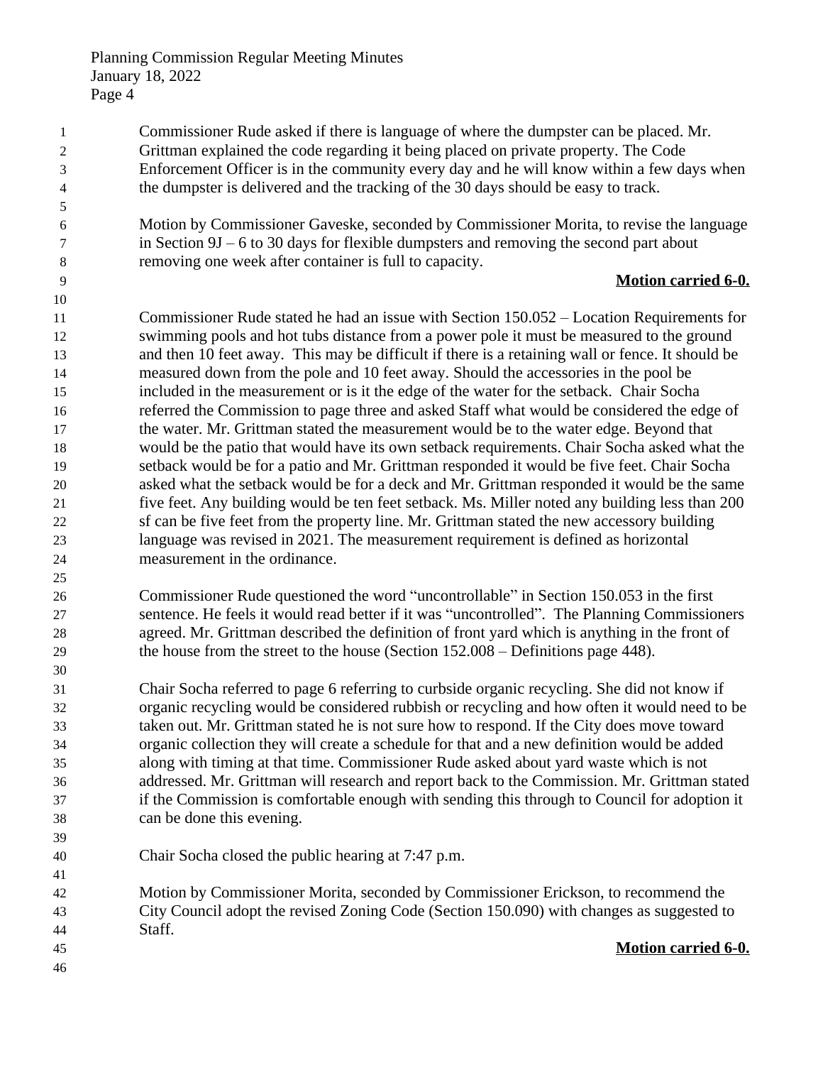Commissioner Rude asked if there is language of where the dumpster can be placed. Mr. Grittman explained the code regarding it being placed on private property. The Code Enforcement Officer is in the community every day and he will know within a few days when the dumpster is delivered and the tracking of the 30 days should be easy to track.

 Motion by Commissioner Gaveske, seconded by Commissioner Morita, to revise the language in Section 9J – 6 to 30 days for flexible dumpsters and removing the second part about removing one week after container is full to capacity.

#### **Motion carried 6-0.**

 Commissioner Rude stated he had an issue with Section 150.052 – Location Requirements for swimming pools and hot tubs distance from a power pole it must be measured to the ground and then 10 feet away. This may be difficult if there is a retaining wall or fence. It should be measured down from the pole and 10 feet away. Should the accessories in the pool be included in the measurement or is it the edge of the water for the setback. Chair Socha referred the Commission to page three and asked Staff what would be considered the edge of the water. Mr. Grittman stated the measurement would be to the water edge. Beyond that would be the patio that would have its own setback requirements. Chair Socha asked what the setback would be for a patio and Mr. Grittman responded it would be five feet. Chair Socha asked what the setback would be for a deck and Mr. Grittman responded it would be the same five feet. Any building would be ten feet setback. Ms. Miller noted any building less than 200 sf can be five feet from the property line. Mr. Grittman stated the new accessory building language was revised in 2021. The measurement requirement is defined as horizontal measurement in the ordinance.

 Commissioner Rude questioned the word "uncontrollable" in Section 150.053 in the first sentence. He feels it would read better if it was "uncontrolled". The Planning Commissioners agreed. Mr. Grittman described the definition of front yard which is anything in the front of the house from the street to the house (Section 152.008 – Definitions page 448).

 Chair Socha referred to page 6 referring to curbside organic recycling. She did not know if organic recycling would be considered rubbish or recycling and how often it would need to be taken out. Mr. Grittman stated he is not sure how to respond. If the City does move toward organic collection they will create a schedule for that and a new definition would be added along with timing at that time. Commissioner Rude asked about yard waste which is not addressed. Mr. Grittman will research and report back to the Commission. Mr. Grittman stated if the Commission is comfortable enough with sending this through to Council for adoption it can be done this evening.

Chair Socha closed the public hearing at 7:47 p.m.

 Motion by Commissioner Morita, seconded by Commissioner Erickson, to recommend the City Council adopt the revised Zoning Code (Section 150.090) with changes as suggested to Staff.

**Motion carried 6-0.**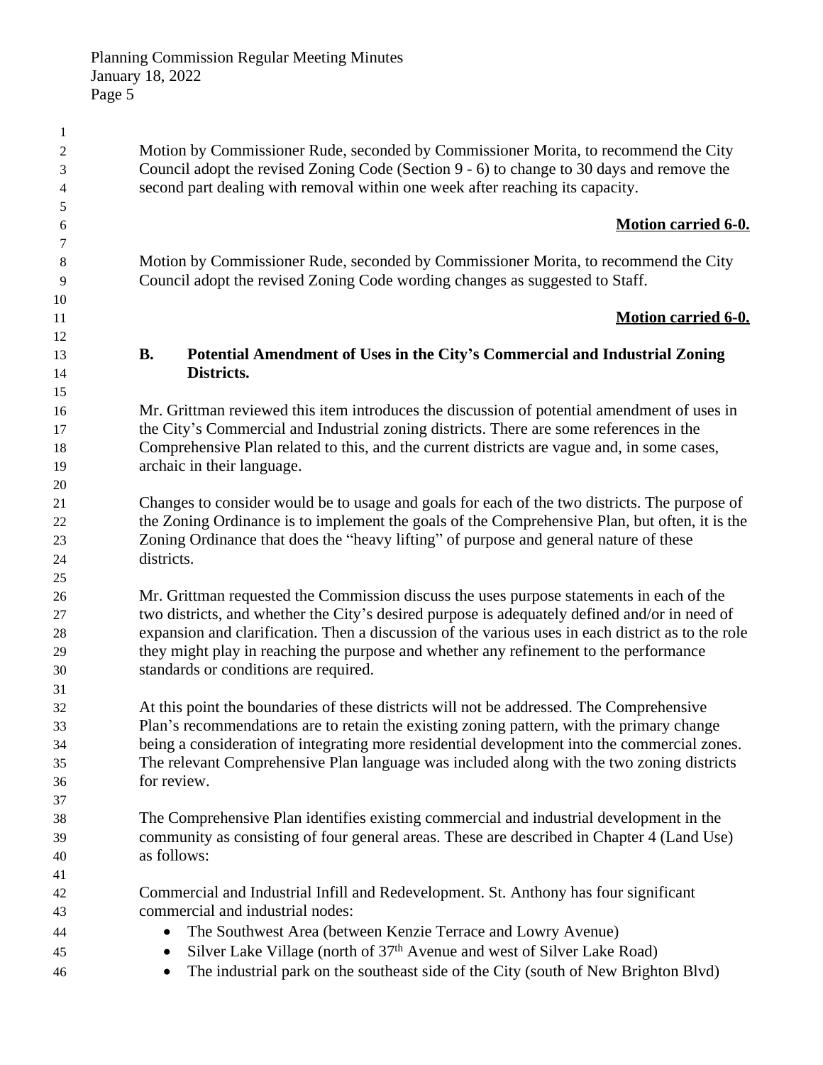Motion by Commissioner Rude, seconded by Commissioner Morita, to recommend the City Council adopt the revised Zoning Code (Section 9 - 6) to change to 30 days and remove the second part dealing with removal within one week after reaching its capacity.

### **Motion carried 6-0.**

 Motion by Commissioner Rude, seconded by Commissioner Morita, to recommend the City Council adopt the revised Zoning Code wording changes as suggested to Staff.

## **Motion carried 6-0.**

# **B. Potential Amendment of Uses in the City's Commercial and Industrial Zoning Districts.**

 Mr. Grittman reviewed this item introduces the discussion of potential amendment of uses in the City's Commercial and Industrial zoning districts. There are some references in the Comprehensive Plan related to this, and the current districts are vague and, in some cases, archaic in their language.

 Changes to consider would be to usage and goals for each of the two districts. The purpose of the Zoning Ordinance is to implement the goals of the Comprehensive Plan, but often, it is the Zoning Ordinance that does the "heavy lifting" of purpose and general nature of these districts.

 Mr. Grittman requested the Commission discuss the uses purpose statements in each of the two districts, and whether the City's desired purpose is adequately defined and/or in need of expansion and clarification. Then a discussion of the various uses in each district as to the role they might play in reaching the purpose and whether any refinement to the performance standards or conditions are required.

 At this point the boundaries of these districts will not be addressed. The Comprehensive Plan's recommendations are to retain the existing zoning pattern, with the primary change being a consideration of integrating more residential development into the commercial zones. The relevant Comprehensive Plan language was included along with the two zoning districts for review.

 The Comprehensive Plan identifies existing commercial and industrial development in the community as consisting of four general areas. These are described in Chapter 4 (Land Use) as follows:

 Commercial and Industrial Infill and Redevelopment. St. Anthony has four significant commercial and industrial nodes:

- The Southwest Area (between Kenzie Terrace and Lowry Avenue)
- <sup>45</sup> Silver Lake Village (north of 37<sup>th</sup> Avenue and west of Silver Lake Road)
- <sup>46</sup> The industrial park on the southeast side of the City (south of New Brighton Blvd)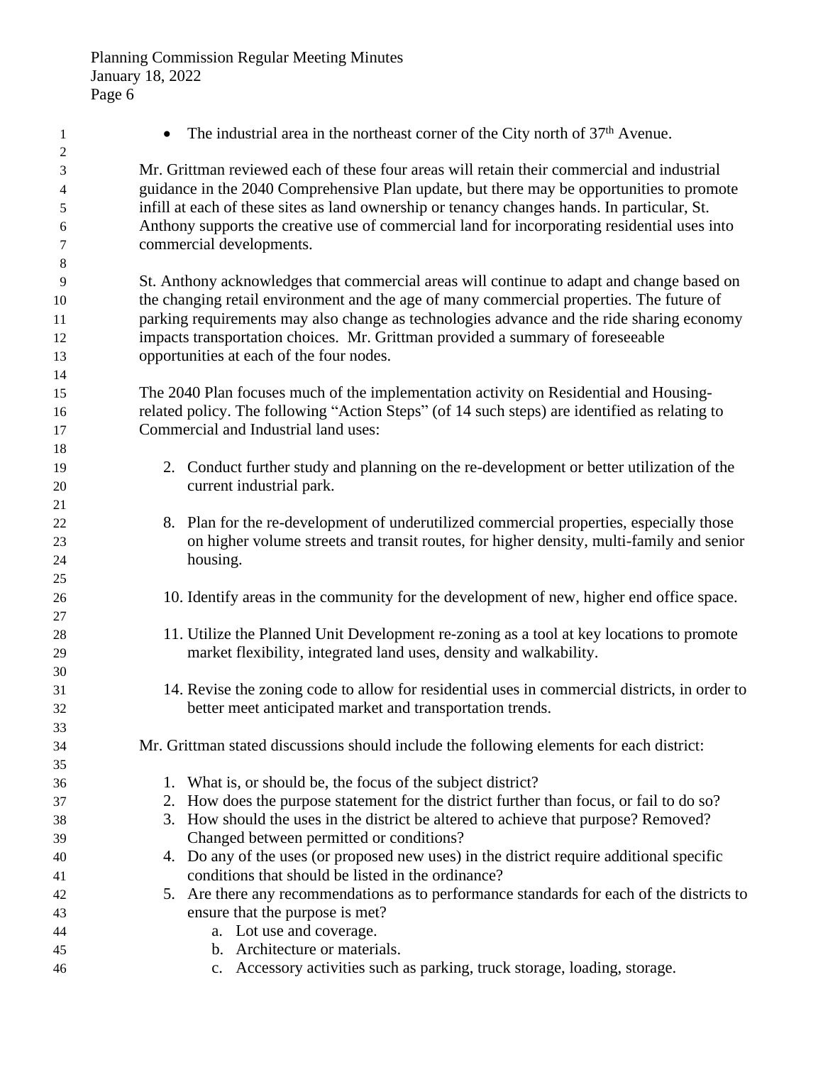1 • The industrial area in the northeast corner of the City north of 37<sup>th</sup> Avenue. Mr. Grittman reviewed each of these four areas will retain their commercial and industrial guidance in the 2040 Comprehensive Plan update, but there may be opportunities to promote infill at each of these sites as land ownership or tenancy changes hands. In particular, St. Anthony supports the creative use of commercial land for incorporating residential uses into commercial developments. St. Anthony acknowledges that commercial areas will continue to adapt and change based on the changing retail environment and the age of many commercial properties. The future of parking requirements may also change as technologies advance and the ride sharing economy impacts transportation choices. Mr. Grittman provided a summary of foreseeable opportunities at each of the four nodes. The 2040 Plan focuses much of the implementation activity on Residential and Housing- related policy. The following "Action Steps" (of 14 such steps) are identified as relating to Commercial and Industrial land uses: 2. Conduct further study and planning on the re-development or better utilization of the current industrial park. 8. Plan for the re-development of underutilized commercial properties, especially those on higher volume streets and transit routes, for higher density, multi-family and senior housing. 10. Identify areas in the community for the development of new, higher end office space. 11. Utilize the Planned Unit Development re-zoning as a tool at key locations to promote market flexibility, integrated land uses, density and walkability. 14. Revise the zoning code to allow for residential uses in commercial districts, in order to better meet anticipated market and transportation trends. Mr. Grittman stated discussions should include the following elements for each district: 1. What is, or should be, the focus of the subject district? 2. How does the purpose statement for the district further than focus, or fail to do so? 3. How should the uses in the district be altered to achieve that purpose? Removed? Changed between permitted or conditions? 4. Do any of the uses (or proposed new uses) in the district require additional specific conditions that should be listed in the ordinance? 5. Are there any recommendations as to performance standards for each of the districts to ensure that the purpose is met? a. Lot use and coverage. b. Architecture or materials. c. Accessory activities such as parking, truck storage, loading, storage.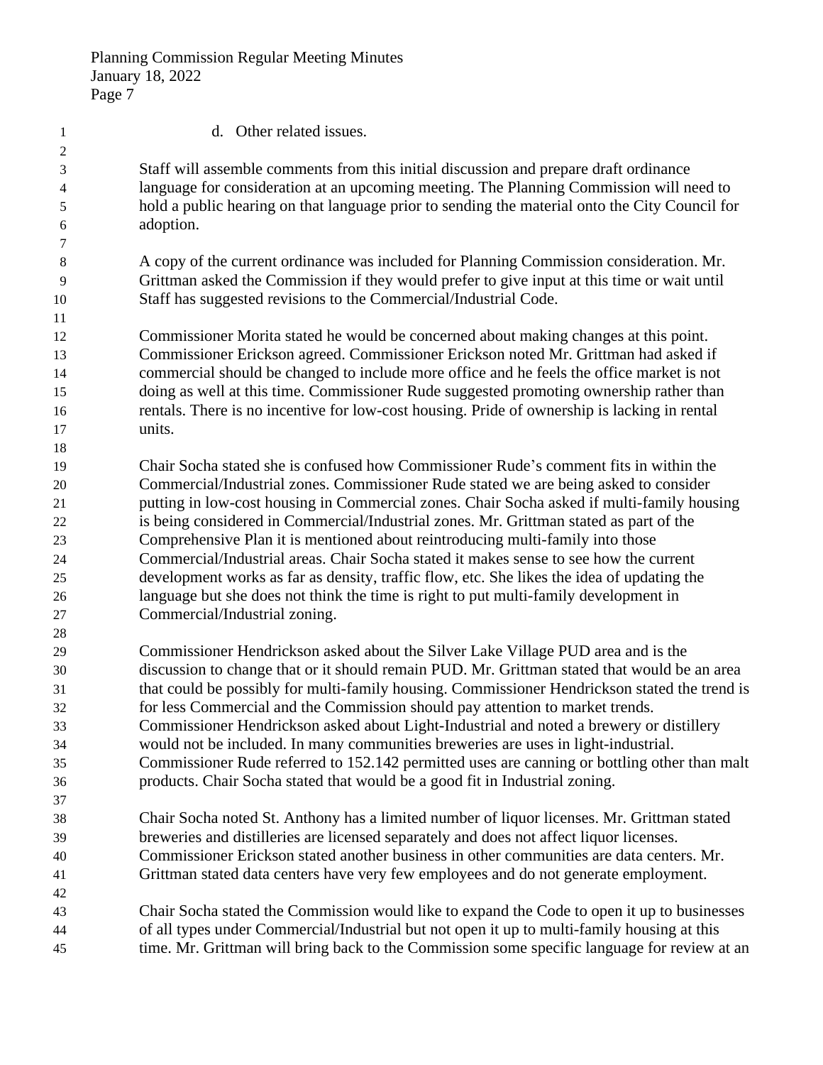| $\mathbf{1}$   | d. Other related issues.                                                                       |
|----------------|------------------------------------------------------------------------------------------------|
| $\overline{c}$ |                                                                                                |
| 3              | Staff will assemble comments from this initial discussion and prepare draft ordinance          |
| 4              | language for consideration at an upcoming meeting. The Planning Commission will need to        |
| 5              | hold a public hearing on that language prior to sending the material onto the City Council for |
| 6              | adoption.                                                                                      |
| 7              |                                                                                                |
| 8              | A copy of the current ordinance was included for Planning Commission consideration. Mr.        |
| 9              | Grittman asked the Commission if they would prefer to give input at this time or wait until    |
| 10             | Staff has suggested revisions to the Commercial/Industrial Code.                               |
| 11             |                                                                                                |
| 12             | Commissioner Morita stated he would be concerned about making changes at this point.           |
| 13             | Commissioner Erickson agreed. Commissioner Erickson noted Mr. Grittman had asked if            |
| 14             | commercial should be changed to include more office and he feels the office market is not      |
| 15             | doing as well at this time. Commissioner Rude suggested promoting ownership rather than        |
| 16             | rentals. There is no incentive for low-cost housing. Pride of ownership is lacking in rental   |
| 17             | units.                                                                                         |
| 18             |                                                                                                |
| 19             | Chair Socha stated she is confused how Commissioner Rude's comment fits in within the          |
| 20             | Commercial/Industrial zones. Commissioner Rude stated we are being asked to consider           |
| 21             | putting in low-cost housing in Commercial zones. Chair Socha asked if multi-family housing     |
| 22             | is being considered in Commercial/Industrial zones. Mr. Grittman stated as part of the         |
| 23             | Comprehensive Plan it is mentioned about reintroducing multi-family into those                 |
| 24             | Commercial/Industrial areas. Chair Socha stated it makes sense to see how the current          |
| 25             | development works as far as density, traffic flow, etc. She likes the idea of updating the     |
| 26             | language but she does not think the time is right to put multi-family development in           |
| 27             | Commercial/Industrial zoning.                                                                  |
| 28             |                                                                                                |
| 29             | Commissioner Hendrickson asked about the Silver Lake Village PUD area and is the               |
| 30             | discussion to change that or it should remain PUD. Mr. Grittman stated that would be an area   |
| 31             | that could be possibly for multi-family housing. Commissioner Hendrickson stated the trend is  |
| 32             | for less Commercial and the Commission should pay attention to market trends.                  |
| 33             | Commissioner Hendrickson asked about Light-Industrial and noted a brewery or distillery        |
| 34             | would not be included. In many communities breweries are uses in light-industrial.             |
| 35             | Commissioner Rude referred to 152.142 permitted uses are canning or bottling other than malt   |
| 36             | products. Chair Socha stated that would be a good fit in Industrial zoning.                    |
| 37             |                                                                                                |
| 38             | Chair Socha noted St. Anthony has a limited number of liquor licenses. Mr. Grittman stated     |
| 39             | breweries and distilleries are licensed separately and does not affect liquor licenses.        |
| 40             | Commissioner Erickson stated another business in other communities are data centers. Mr.       |
| 41             | Grittman stated data centers have very few employees and do not generate employment.           |
| 42             |                                                                                                |
| 43             | Chair Socha stated the Commission would like to expand the Code to open it up to businesses    |
| 44             | of all types under Commercial/Industrial but not open it up to multi-family housing at this    |
| 45             | time. Mr. Grittman will bring back to the Commission some specific language for review at an   |